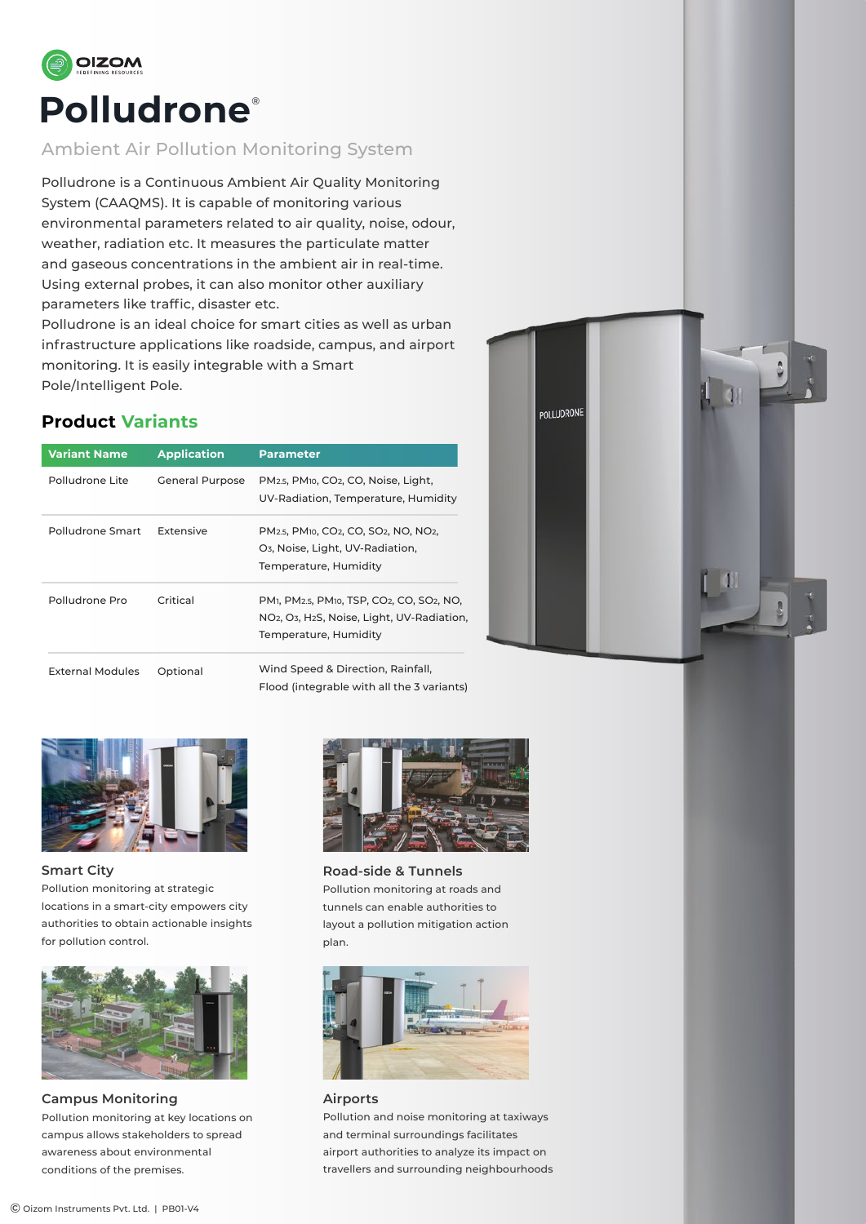

### Ambient Air Pollution Monitoring System

Polludrone is a Continuous Ambient Air Quality Monitoring System (CAAQMS). It is capable of monitoring various environmental parameters related to air quality, noise, odour, weather, radiation etc. It measures the particulate matter and gaseous concentrations in the ambient air in real-time. Using external probes, it can also monitor other auxiliary parameters like traffic, disaster etc.

Polludrone is an ideal choice for smart cities as well as urban infrastructure applications like roadside, campus, and airport monitoring. It is easily integrable with a Smart Pole/Intelligent Pole.

# **Product Variants**

| <b>Variant Name</b>     | <b>Application</b>     | <b>Parameter</b>                                                                                                                                                                                                       |  |  |  |
|-------------------------|------------------------|------------------------------------------------------------------------------------------------------------------------------------------------------------------------------------------------------------------------|--|--|--|
| Polludrone Lite         | <b>General Purpose</b> | PM <sub>2.5</sub> , PM <sub>10</sub> , CO <sub>2</sub> , CO, Noise, Light,<br>UV-Radiation, Temperature, Humidity                                                                                                      |  |  |  |
| Polludrone Smart        | Extensive              | PM <sub>2.5</sub> , PM <sub>10</sub> , CO <sub>2</sub> , CO, SO <sub>2</sub> , NO, NO <sub>2</sub> ,<br>O <sub>3</sub> , Noise, Light, UV-Radiation,<br>Temperature, Humidity                                          |  |  |  |
| Polludrone Pro          | Critical               | PM <sub>1</sub> , PM <sub>2.5</sub> , PM <sub>10</sub> , TSP, CO <sub>2</sub> , CO, SO <sub>2</sub> , NO,<br>NO <sub>2</sub> , O <sub>3</sub> , H <sub>2</sub> S, Noise, Light, UV-Radiation,<br>Temperature, Humidity |  |  |  |
| <b>External Modules</b> | Optional               | Wind Speed & Direction, Rainfall,<br>Flood (integrable with all the 3 variants)                                                                                                                                        |  |  |  |





**Smart City** Pollution monitoring at strategic locations in a smart-city empowers city authorities to obtain actionable insights for pollution control.



**Campus Monitoring** Pollution monitoring at key locations on campus allows stakeholders to spread awareness about environmental conditions of the premises.



**Road-side & Tunnels** Pollution monitoring at roads and tunnels can enable authorities to layout a pollution mitigation action plan.



#### **Airports**

Pollution and noise monitoring at taxiways and terminal surroundings facilitates airport authorities to analyze its impact on travellers and surrounding neighbourhoods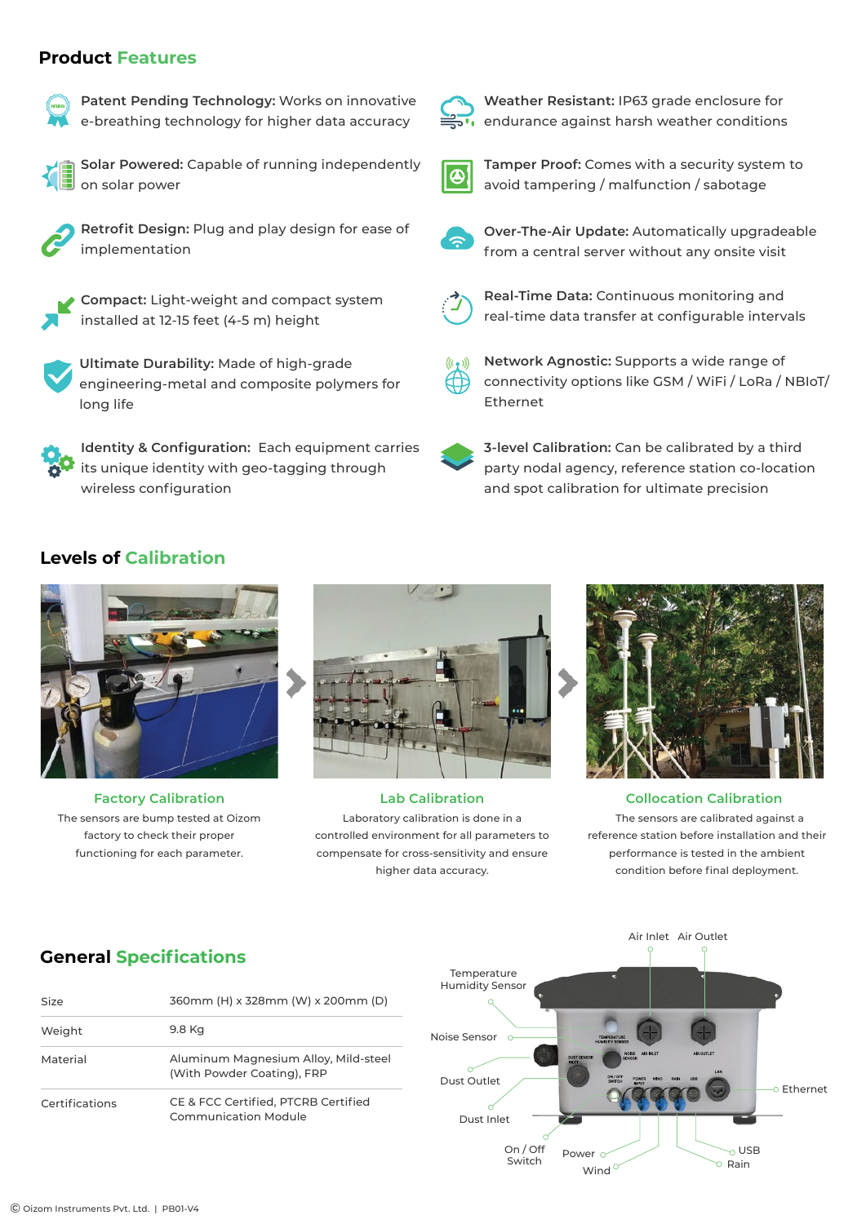#### **Product Features**



**Patent Pending Technology:** Works on innovative e-breathing technology for higher data accuracy



**Solar Powered:** Capable of running independently on solar power



**Retrofit Design:** Plug and play design for ease of implementation



**Compact:** Light-weight and compact system installed at 12-15 feet (4-5 m) height



**Ultimate Durability:** Made of high-grade engineering-metal and composite polymers for long life

**Identity & Configuration:** Each equipment carries its unique identity with geo-tagging through wireless configuration



**Weather Resistant:** IP63 grade enclosure for endurance against harsh weather conditions



**Tamper Proof:** Comes with a security system to avoid tampering / malfunction / sabotage



**Over-The-Air Update:** Automatically upgradeable from a central server without any onsite visit



**Real-Time Data:** Continuous monitoring and real-time data transfer at configurable intervals



**Network Agnostic:** Supports a wide range of connectivity options like GSM / WiFi / LoRa / NBIoT/ Ethernet



**3-level Calibration:** Can be calibrated by a third party nodal agency, reference station co-location and spot calibration for ultimate precision

### **Levels of Calibration**



The sensors are bump tested at Oizom factory to check their proper functioning for each parameter.



Laboratory calibration is done in a controlled environment for all parameters to compensate for cross-sensitivity and ensure higher data accuracy.



**Factory Calibration Lab Calibration Collocation Calibration** The sensors are calibrated against a reference station before installation and their performance is tested in the ambient condition before final deployment.

# **General Specifications**

| Size           | 360mm (H) x 328mm (W) x 200mm (D)                                  |
|----------------|--------------------------------------------------------------------|
| Weight         | 9.8 Kg                                                             |
| Material       | Aluminum Magnesium Alloy, Mild-steel<br>(With Powder Coating), FRP |
| Certifications | CE & FCC Certified, PTCRB Certified<br>Communication Module        |

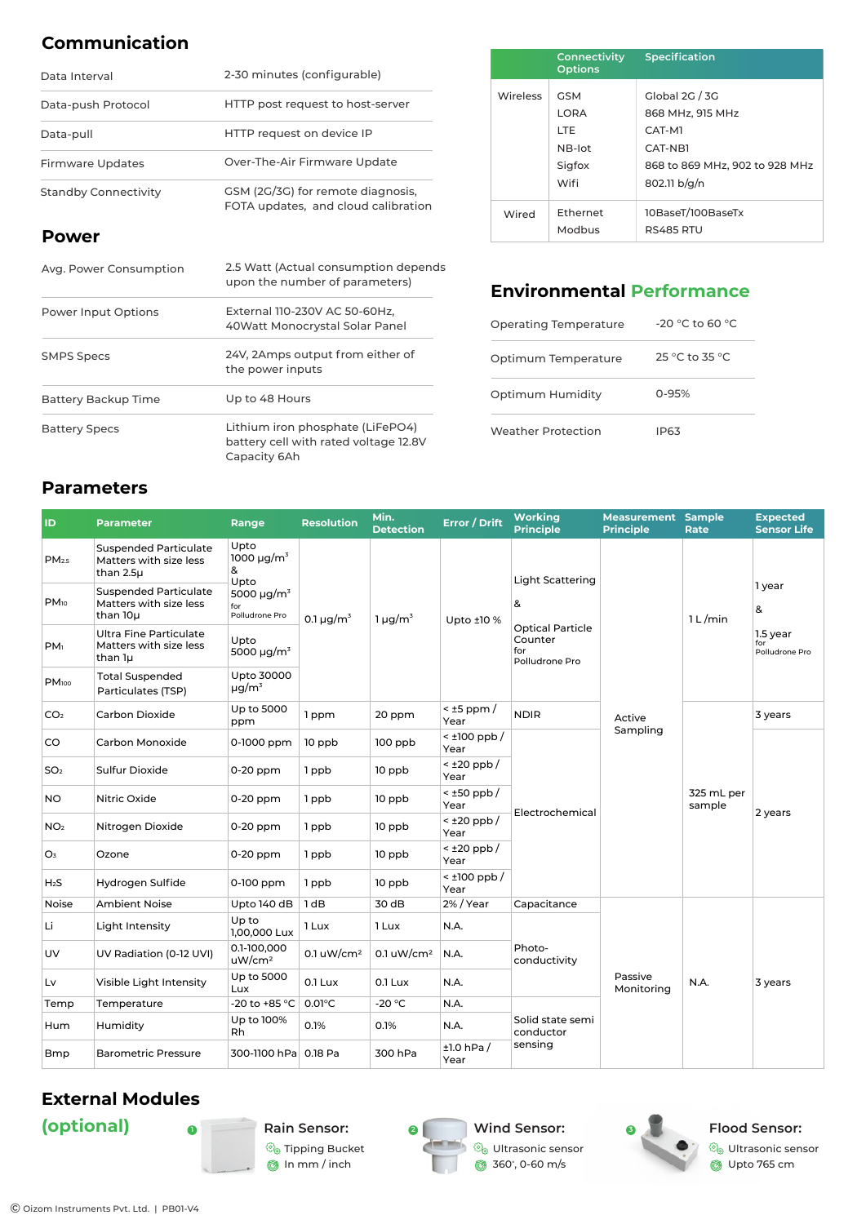# **Communication**

| Data Interval               | 2-30 minutes (configurable)                                              |  |  |  |
|-----------------------------|--------------------------------------------------------------------------|--|--|--|
| Data-push Protocol          | HTTP post request to host-server                                         |  |  |  |
| Data-pull                   | HTTP request on device IP                                                |  |  |  |
| <b>Firmware Updates</b>     | Over-The-Air Firmware Update                                             |  |  |  |
| <b>Standby Connectivity</b> | GSM (2G/3G) for remote diagnosis,<br>FOTA updates, and cloud calibration |  |  |  |

### **Power**

| Avg. Power Consumption | 2.5 Watt (Actual consumption depends<br>upon the number of parameters)                    |  |  |  |  |
|------------------------|-------------------------------------------------------------------------------------------|--|--|--|--|
| Power Input Options    | External 110-230V AC 50-60Hz.<br>40Watt Monocrystal Solar Panel                           |  |  |  |  |
| <b>SMPS Specs</b>      | 24V, 2Amps output from either of<br>the power inputs                                      |  |  |  |  |
| Battery Backup Time    | Up to 48 Hours                                                                            |  |  |  |  |
| <b>Battery Specs</b>   | Lithium iron phosphate (LiFePO4)<br>battery cell with rated voltage 12.8V<br>Capacity 6Ah |  |  |  |  |

|                 | Connectivity<br><b>Options</b>                                      | <b>Specification</b>                                                                                      |
|-----------------|---------------------------------------------------------------------|-----------------------------------------------------------------------------------------------------------|
| <b>Wireless</b> | <b>GSM</b><br><b>LORA</b><br><b>LTE</b><br>NB-lot<br>Sigfox<br>Wifi | Global 2G / 3G<br>868 MHz, 915 MHz<br>CAT-M1<br>CAT-NB1<br>868 to 869 MHz, 902 to 928 MHz<br>802.11 b/g/n |
| Wired           | Ethernet<br>Modbus                                                  | 10BaseT/100BaseTx<br><b>RS485 RTU</b>                                                                     |

# **Environmental Performance**

| Operating Temperature | $-20$ °C to 60 °C |
|-----------------------|-------------------|
| Optimum Temperature   | 25 °C to 35 °C    |
| Optimum Humidity      | $0 - 95%$         |
| Weather Protection    | IP63              |

# **Parameters**

| ID                | <b>Parameter</b>                                                    | Range                                                                                                                                           | <b>Resolution</b>          | Min.<br><b>Detection</b> | <b>Error / Drift</b>      | <b>Working</b><br><b>Principle</b>                          | <b>Measurement Sample</b><br><b>Principle</b> | Rate                 | <b>Expected</b><br><b>Sensor Life</b>            |
|-------------------|---------------------------------------------------------------------|-------------------------------------------------------------------------------------------------------------------------------------------------|----------------------------|--------------------------|---------------------------|-------------------------------------------------------------|-----------------------------------------------|----------------------|--------------------------------------------------|
| PM <sub>2.5</sub> | <b>Suspended Particulate</b><br>Matters with size less<br>than 2.5µ | Upto<br>1000 $\mu$ g/m <sup>3</sup><br>&<br>Upto<br>5000 $\mu$ g/m <sup>3</sup><br>for<br>Polludrone Pro<br>Upto<br>5000 $\mu$ g/m <sup>3</sup> | 0.1 $\mu$ g/m <sup>3</sup> | $1 \mu g/m^3$            | Upto ±10 %                | <b>Light Scattering</b>                                     |                                               | 1 L/min              | 1 year<br>&<br>1.5 year<br>for<br>Polludrone Pro |
| $PM_{10}$         | <b>Suspended Particulate</b><br>Matters with size less<br>than 10µ  |                                                                                                                                                 |                            |                          |                           | &                                                           |                                               |                      |                                                  |
| PM <sub>1</sub>   | <b>Ultra Fine Particulate</b><br>Matters with size less<br>than 1µ  |                                                                                                                                                 |                            |                          |                           | <b>Optical Particle</b><br>Counter<br>for<br>Polludrone Pro |                                               |                      |                                                  |
| PM <sub>100</sub> | <b>Total Suspended</b><br>Particulates (TSP)                        | Upto 30000<br>$\mu q/m^3$                                                                                                                       |                            |                          |                           |                                                             |                                               |                      |                                                  |
| CO <sub>2</sub>   | Carbon Dioxide                                                      | Up to 5000<br>ppm                                                                                                                               | 1 ppm                      | 20 ppm                   | $<$ ±5 ppm $/$<br>Year    | <b>NDIR</b>                                                 | Active<br>Sampling                            | 325 mL per<br>sample | 3 years                                          |
| CO                | Carbon Monoxide                                                     | 0-1000 ppm                                                                                                                                      | 10 ppb                     | $100$ ppb                | $<$ ±100 ppb $/$<br>Year  | Electrochemical                                             |                                               |                      | 2 years                                          |
| SO <sub>2</sub>   | <b>Sulfur Dioxide</b>                                               | $0-20$ ppm                                                                                                                                      | 1 ppb                      | 10 ppb                   | $<$ ±20 ppb/<br>Year      |                                                             |                                               |                      |                                                  |
| <b>NO</b>         | Nitric Oxide                                                        | 0-20 ppm                                                                                                                                        | 1 ppb                      | 10 ppb                   | $<$ ±50 ppb/<br>Year      |                                                             |                                               |                      |                                                  |
| NO <sub>2</sub>   | Nitrogen Dioxide                                                    | $0-20$ ppm                                                                                                                                      | 1 ppb                      | 10 ppb                   | $<$ ±20 ppb/<br>Year      |                                                             |                                               |                      |                                                  |
| O <sub>3</sub>    | Ozone                                                               | $0-20$ ppm                                                                                                                                      | 1 ppb                      | 10 ppb                   | $<$ ±20 ppb/<br>Year      |                                                             |                                               |                      |                                                  |
| $H_2S$            | Hydrogen Sulfide                                                    | 0-100 ppm                                                                                                                                       | 1 ppb                      | 10 ppb                   | $\leq$ ±100 ppb /<br>Year |                                                             |                                               |                      |                                                  |
| Noise             | <b>Ambient Noise</b>                                                | Upto 140 dB                                                                                                                                     | 1dB                        | 30 dB                    | 2% / Year                 | Capacitance                                                 |                                               |                      |                                                  |
| Li                | Light Intensity                                                     | Up to<br>1,00,000 Lux                                                                                                                           | 1 Lux                      | 1 Lux                    | N.A.                      | Photo-<br>conductivity<br>Passive<br>Monitoring             |                                               |                      |                                                  |
| <b>UV</b>         | UV Radiation (0-12 UVI)                                             | 0.1-100,000<br>uW/cm <sup>2</sup>                                                                                                               | 0.1 $uW/cm^2$              | 0.1 $uW/cm^2$            | N.A.                      |                                                             |                                               | N.A.                 | 3 years                                          |
| Lv                | Visible Light Intensity                                             | Up to 5000<br>Lux                                                                                                                               | 0.1 Lux                    | 0.1 Lux                  | N.A.                      |                                                             |                                               |                      |                                                  |
| Temp              | Temperature                                                         | -20 to +85 °C                                                                                                                                   | $0.01^{\circ}$ C           | $-20 °C$                 | N.A.                      | Solid state semi<br>conductor                               |                                               |                      |                                                  |
| Hum               | Humidity                                                            | Up to 100%<br>Rh                                                                                                                                | 0.1%                       | 0.1%                     | N.A.                      |                                                             |                                               |                      |                                                  |
| Bmp               | <b>Barometric Pressure</b>                                          |                                                                                                                                                 |                            | 300 hPa                  | $±1.0$ hPa $/$<br>Year    | sensing                                                     |                                               |                      |                                                  |

# **External Modules**

**Rain Sensor:** Tipping Bucket In mm / inch



 $\widehat{\mathbb{Q}}_{\!\scriptscriptstyle (\!\varsigma\!)}$  Ultrasonic sensor 360º , 0-60 m/s



**Flood Sensor:**

Ultrasonic sensor Upto 765 cm